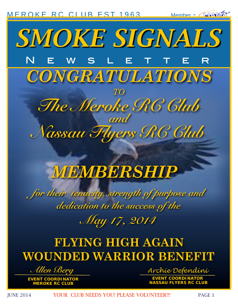[MEROKE RC CLUB](http://www.meroke.com) EST. 1963

Member - AJVAWA



# *MEMBERSHIP*

*for their tenacity, strength of purpose and dedication to the success of the*

*May 17, 2014*

## **FLYING HIGH AGAIN WOUNDED WARRIOR BENEFIT**

*Allen Berg*

**EVENT COORDINATOR MEROKE RC CLUB**

*Archie Defendini* **EVENT COORDINATOR CLUB** 

JUNE 2014 YOUR CLUB NEEDS YOU! PLEASE VOLUNTEER!!! PAGE 1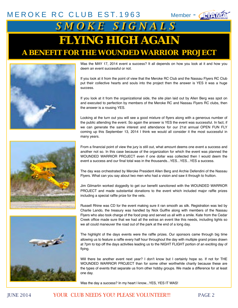## [MEROKE RC CLUB](http://www.meroke.com) EST.1963 Member - **APANA AND SANGLE S IGNALS FLYING HIGH AGAIN A BENEFIT FOR THE WOUNDED WARRIOR PROJECT**



Was the MAY 17, 2014 event a success? It all depends on how you look at it and how you deem an event successful or not.

If you look at it from the point of view that the Meroke RC Club and the Nassau Flyers RC Club put their collective hearts and souls into the project then the answer is YES it was a huge success.

If you look at it from the organizational side, the site plan laid out by Allen Berg was spot on and executed to perfection by members of the Meroke RC and Nassau Flyers RC clubs, then the answer is a rousing YES.

Looking at the turn out you will see a good mixture of flyers along with a generous number of the public attending the event. So again the answer is YES the event was successful. In fact, if we can generate the same interest and attendance for our 21st annual OPEN FUN FLY coming up this September 13, 2014 I think we would all consider it the most successful in many years.





From a financial point of view the jury is still out, what amount deems one event a success and another not so. In this case because of the organization for which the event was planned the WOUNDED WARRIOR PROJECT even if one dollar was collected then I would deem the event a success and our final total was in the thousands... YES... YES... YES a success.

The day was orchestrated by Meroke President Allen Berg and Archie Defendini of the Nassau Flyers. What can you say about two men who had a vision and saw it through to fruition.

Jim Gilmartin worked doggedly to get our benefit sanctioned with the WOUNDED WARRIOR PROJECT and made substantial donations to the event which included major raffle prizes including a special raffle prize for the vets.

Russell Rhine was CD for the event making sure it ran smooth as silk. Registration was led by Charlie Lando, the treasury was handled by Nick Guiffre along with members of the Nassau Flyers who also took charge of the food prep and served us all with a smile. Kate from the Cedar Creek office made sure that we had all the extras an event like this needs, including lights so we all could maneuver the road out of the park at the end of a long day.

The highlight of the days events were the raffle prizes. Our sponsors came through big time allowing us to feature a raffle every half hour throughout the day with multiple grand prizes drawn at 7pm to top off the days activities leading us to the NIGHT FLIGHT portion of an exciting day of flying.

Will there be another event next year? I don't know but I certainly hope so. If not for THE WOUNDED WARRIOR PROJECT than for some other worthwhile charity because these are the types of events that separate us from other hobby groups. We made a difference for at least one day.

Was the day a success? In my heart I know...YES, YES IT WAS!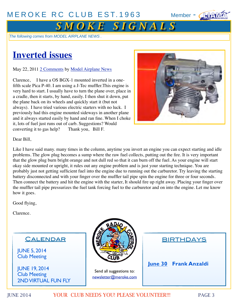

## $S$  *M O K E S I G N A L S*

*The following comes from MODEL AIRPLANE NEWS .*

## **Inverted issues**

May 22, 2011 2 Comments by Model Airplane News

Clarence, I have a OS BGX-1 mounted inverted in a onefifth scale Pica P-40. I am using a J-Tec muffler.This engine is very hard to start. I usually have to turn the plane over, place in a cradle, then it starts, by hand, easily. I then shut it down, put the plane back on its wheels and quickly start it (but not always). I have tried various electric starters with no luck. I previously had this engine mounted sideways in another plane and it always started easily by hand and ran fine. When I choke it, lots of fuel just runs out of carb. Suggestions? Would converting it to gas help? Thank you, Bill F. converting it to gas help?



Dear Bill,

Like I have said many. many times in the column, anytime you invert an engine you can expect starting and idle problems. The glow plug becomes a sump where the raw fuel collects, putting out the fire. It is very important that the glow plug burn bright orange and not dull red so that it can burn off the fuel. As your engine will start okay side mounted or upright, it rules out any engine problem and is just your starting technique. You are probably just not getting sufficient fuel into the engine due to running out the carburetor. Try leaving the starting battery disconnected and with your finger over the muffler tail pipe spin the engine for three or four seconds. Then connect the battery and hit the engine with the starter, It should fire up right away. Placing your finger over the muffler tail pipe pressurizes the fuel tank forcing fuel to the carburetor and on into the engine. Let me know how it goes.

Good flying,

Clarence.

#### **CALENDAR**

JUNE 5, 2014 Club Meeting

JUNE 19, 2014 Club Meeting 2ND VIRTUAL FUN FLY



Send all suggestions to: newsletter@meroke.com **BIRTHDAYS** 

**June 30 Frank Anzaldi**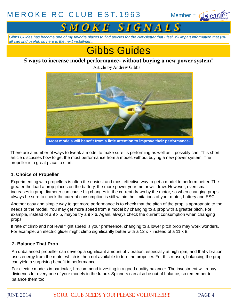



*Gibbs Guides has become one of my favorite places to find articles for the Newsletter that I feel will impart information that you all can find useful, so here is the next installment.*



#### **5 ways to increase model performance- without buying a new power system!**

Article by Andrew Gibbs



**Most models will benefit from a little attention to improve their performance.**

There are a number of ways to tweak a model to make sure its performing as well as it possibly can. This short article discusses how to get the most performance from a model, without buying a new power system. The propeller is a great place to start:

#### **1. Choice of Propeller**

Experimenting with propellers is often the easiest and most effective way to get a model to perform better. The greater the load a prop places on the battery, the more power your motor will draw. However, even small increases in prop diameter can cause big changes in the current drawn by the motor, so when changing props, always be sure to check the current consumption is still within the limitations of your motor, battery and ESC.

Another easy and simple way to get more performance is to check that the pitch of the prop is appropriate to the needs of the model. You may get more speed from a model by changing to a prop with a greater pitch. For example, instead of a 9 x 5, maybe try a 9 x 6. Again, always check the current consumption when changing props.

If rate of climb and not level flight speed is your preference, changing to a lower pitch prop may work wonders. For example, an electric glider might climb significantly better with a 12 x 7 instead of a 11 x 8.

#### **2. Balance That Prop**

An unbalanced propeller can develop a significant amount of vibration, especially at high rpm, and that vibration uses energy from the motor which is then not available to turn the propeller. For this reason, balancing the prop can yield a surprising benefit in performance.

For electric models in particular, I recommend investing in a good quality balancer. The investment will repay dividends for every one of your models in the future. Spinners can also be out of balance, so remember to balance them too.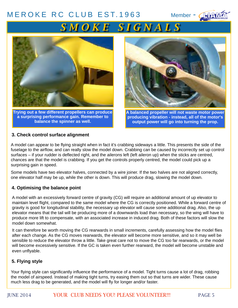## [iiiii](http://www.liama.org) *S M O K E S I G N A L S*



**Trying out a few different propellers can produce a surprising performance gain. Remember to balance the spinner as well.**



**A balanced propeller will not waste motor power producing vibration - instead, all of the motor's output power will go into turning the prop.**

#### **3. Check control surface alignment**

A model can appear to be flying straight when in fact it's crabbing sideways a little. This presents the side of the fuselage to the airflow, and can really slow the model down. Crabbing can be caused by incorrectly set up control surfaces – if your rudder is deflected right, and the ailerons left (left aileron up) when the sticks are centred, chances are that the model is crabbing. If you get the controls properly centred, the model could pick up a surprising gain in speed.

Some models have two elevator halves, connected by a wire joiner. If the two halves are not aligned correctly, one elevator half may be up, while the other is down. This will produce drag, slowing the model down.

#### **4. Optimising the balance point**

A model with an excessively forward centre of gravity (CG) will require an additional amount of up elevator to maintain level flight, compared to the same model where the CG is correctly positioned. While a forward centre of gravity is good for longitudinal stability, the necessary up elevator will cause some additional drag. Also, the up elevator means that the tail will be producing more of a downwards load than necessary, so the wing will have to produce more lift to compensate, with an associated increase in induced drag. Both of these factors will slow the model down somewhat.

It can therefore be worth moving the CG rearwards in small increments, carefully assessing how the model flies after each change. As the CG moves rearwards, the elevator will become more sensitive, and so it may well be sensible to reduce the elevator throw a little. Take great care not to move the CG too far rearwards, or the model will become excessively sensitive. If the GC is taken even further rearward, the model will become unstable and even unflyable.

#### **5. Flying style**

Your flying style can significantly influence the performance of a model. Tight turns cause a lot of drag, robbing the model of airspeed. Instead of making tight turns, try easing them out so that turns are wider. These cause much less drag to be generated, and the model will fly for longer and/or faster.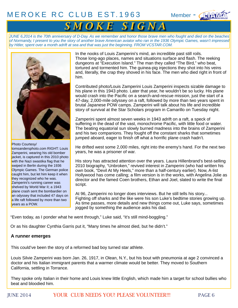### $MEROKE RC CLUB EST.1963$  $MEROKE RC CLUB EST.1963$  Member -  $\sqrt{4}$



## $S$  **M O K E** S I G N A

*JUNE 6,2014 is the 70th anniversary of D-Day. As we remember and honor those brave men who fought and died on the beaches of Normandy, I present to you the story of another brave American aviator who ran in the 1936 Olympic Games, wasn't impressed by Hitler, spent over a month adrift at sea and that was just the beginning. FROM VCSTAR.COM.*



tomsandersphoto.com RIGHT: Louis Zamperini, wearing his old bomber jacket, is captured in this 2010 photo with the Nazi swastika flag that he swiped in Berlin during the 1936 Olympic Games. The German police caught him, but let him keep it when they recognized who he was. Zamperini's running career was shelved by World War II: a 1943 plane crash sent the bombardier on an odyssey that included 47 days on a life raft followed by more than two vears as a POW.

In the nooks of Louis Zamperini's mind, an incredible past still roils. Those long-ago places, names and situations surface and flash. The reeking dungeons at "Execution Island." The man they called "The Bird," who beat, tortured and tormented him. The guinea-pig injections they shot into his veins and, literally, the crap they shoved in his face. The men who died right in front of him.

Contributed photo/Louis Zamperini Louis Zamperini inspects sizable damage to his plane in this 1943 photo. Later that year, he wouldn't be so lucky. His plane would crash into the Pacific on a search-and-rescue mission, just the start of a 47-day, 2,000-mile odyssey on a raft, followed by more than two years spent in brutal Japanese POW camps. Zamperini will talk about his life and incredible story of survival at the Star Scholars program in Camarillo on Tuesday night.

Zamperini spent almost seven weeks in 1943 adrift on a raft, a speck of suffering in the dead of the vast, monochrome Pacific, with little food or water. The beating equatorial sun slowly burned madness into the brains of Zamperini and his two companions. They fought off the constant sharks that sometimes jumped aboard, eager to finish off what a horrific plane crash hadn't.

He drifted west some 2,000 miles, right into the enemy's hand. For the next two years, he was a prisoner of war.

His story has attracted attention over the years. Laura Hillenbrand's best-selling 2010 biography, "Unbroken," revived interest in Zamperini (who had written his own book, "Devil At My Heels," more than a half-century earlier). Now, A-list Hollywood has come calling; a film version is in the works, with Angelina Jolie as director and the famed Coen brothers, Ethan and Joel, slated to write the final script.

At 96, Zamperini no longer does interviews. But he still tells his story... Fighting off sharks and the like were his son Luke's bedtime stories growing up. As time passes, more details and new things come out, Luke says, sometimes jogged by something the audience asks his dad.

"Even today, as I ponder what he went through," Luke said, "it's still mind-boggling."

Or as his daughter Cynthia Garris put it, "Many times he almost died, but he didn't."

#### **A runner emerges**

This could've been the story of a reformed bad boy turned star athlete.

Louis Silvie Zamperini was born Jan. 26, 1917, in Olean, N.Y., but his bout with pneumonia at age 2 convinced a doctor and his Italian immigrant parents that a warmer climate would be better. They moved to Southern California, settling in Torrance.

They spoke only Italian in their home and Louis knew little English, which made him a target for school bullies who beat and bloodied him.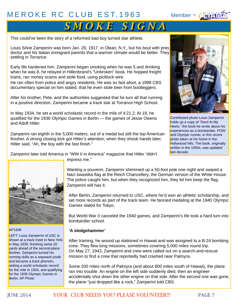

## $S$  *M O K E S I G N A*

This could've been the story of a reformed bad boy turned star athlete.

Louis Silvie Zamperini was born Jan. 26, 1917, in Olean, N.Y., but his bout with pneu doctor and his Italian immigrant parents that a warmer climate would be better. They settling in Torrance.

Early life hardened him. Zamperini began smoking when he was 5 and drinking when he was 8, he relayed in Hillenbrand's "Unbroken" book. He hopped freight trains, ran money scams and stole food, using picklock wire.

He ran often from police and angry residents. He was so fast afoot, a 1998 CBS documentary special on him stated, that he even stole beer from bootleggers.

After his brother, Pete, and the authorities suggested that he turn all that running in a positive direction, Zamperini became a track star at Torrance High School.

In May 1934, he set a world scholastic record in the mile of 4:21.2. At 19, he qualified for the 1936 Olympic Games in Berlin — the games of Jesse Owens and Adolf Hitler.

Zamperini ran eighth in the 5,000 meters, out of a medal but still the top American finisher. A strong closing kick got Hitler's attention; when they shook hands later, Hitler said, "Ah, the boy with the fast finish."



Contributed photo Louis Zamperini holds up a copy of "Devil At My Heels," the book he wrote about his experiences as a bombardier, POW and Olympic runner, in this recent photo taken at his home in the Hollywood hills. The book, originally written in the 1950s, was updated last decade.

Zamperini later told America in "WW II in America" magazine that Hitler "didn't



AP1939

LEFT: Louis Zamperini of USC is shown at a track meet in New York in May 1939, finishing some 20 yards ahead of the second-place finisher. Zamperini turned his running skills as a wayward youth and became a track phenom, setting a world scholastic record for the mile in 1934, and qualifying for the 1936 Olympic Games in Berlin. AP Photo

impress me."

Wanting a souvenir, Zamperini shimmied up a 50-foot pole one night and swiped a Nazi swastika flag at the Reich Chancellery, the German version of the White House. The police caught him, but when they recognized him, they let him keep the flag. Zamperini still has it.

After Berlin, Zamperini returned to USC, where he'd won an athletic scholarship, and set more records as part of the track team. He fancied medaling at the 1940 Olympic Games slated for Tokyo.

But World War II canceled the 1940 games, and Zamperini's life took a hard turn into bombardier school.

#### **'A sledgehammer'**

After training, he wound up stationed in Hawaii and was assigned to a B-24 bombing crew. They flew long missions, sometimes covering 5,000 miles round trip. On May 27, 1943, Zamperini and crew were called out on a search-and-rescue mission to find a crew that reportedly had crashed near Palmyra.

Some 200 miles north of Palmyra (and about 800 miles south of Hawaii), the plane ran into trouble. An engine on the left side suddenly died, then an engineer accidentally shut down the other engine on that side. After the second one was gone, the plane "just dropped like a rock," Zamperini told CBS.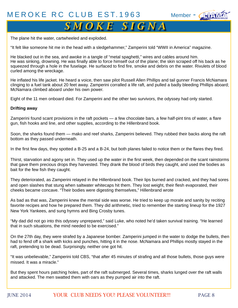

## **S M O K E S I G N A**

The plane hit the water, cartwheeled and exploded.

"It felt like someone hit me in the head with a sledgehammer," Zamperini told "WWII in America" magazine.

He blacked out in the sea, and awoke in a tangle of "metal spaghetti," wires and cables around him. He was sinking, drowning. He was finally able to force himself out of the plane; the skin scraped off his back as he squeezed through a hole in the fuselage. He surfaced to find fire, smoke and debris on the water. Rivulets of blood curled among the wreckage.

He inflated his life jacket. He heard a voice, then saw pilot Russell Allen Phillips and tail gunner Francis McNamara clinging to a fuel tank about 20 feet away. Zamperini corralled a life raft, and pulled a badly bleeding Phillips aboard; McNamara climbed aboard under his own power.

Eight of the 11 men onboard died. For Zamperini and the other two survivors, the odyssey had only started.

#### **Drifting away**

Zamperini found scant provisions in the raft pockets — a few chocolate bars, a few half-pint tins of water, a flare gun, fish hooks and line, and other supplies, according to the Hillenbrand book.

Soon, the sharks found them — mako and reef sharks, Zamperini believed. They rubbed their backs along the raft bottom as they passed underneath.

In the first few days, they spotted a B-25 and a B-24, but both planes failed to notice them or the flares they fired.

Thirst, starvation and agony set in. They used up the water in the first week, then depended on the scant rainstorms that gave them precious drops they harvested. They drank the blood of birds they caught, and used the bodies as bait for the few fish they caught.

They deteriorated, as Zamperini relayed in the Hillenbrand book. Their lips burned and cracked, and they had sores and open slashes that stung when saltwater whitecaps hit them. They lost weight, their flesh evaporated, their cheeks became concave. "Their bodies were digesting themselves," Hillenbrand wrote

As bad as that was, Zamperini knew the mental side was worse. He tried to keep up morale and sanity by reciting favorite recipes and how he prepared them. They did arithmetic, tried to remember the starting lineup for the 1927 New York Yankees, and sung hymns and Bing Crosby tunes.

"My dad did not go into this odyssey unprepared," said Luke, who noted he'd taken survival training. "He learned that in such situations, the mind needed to be exercised."

On the 27th day, they were strafed by a Japanese bomber. Zamperini jumped in the water to dodge the bullets, then had to fend off a shark with kicks and punches, hitting it in the nose. McNamara and Phillips mostly stayed in the raft, pretending to be dead. Surprisingly, neither one got hit.

"It was unbelievable," Zamperini told CBS, "that after 45 minutes of strafing and all those bullets, those guys were missed. It was a miracle."

But they spent hours patching holes, part of the raft submerged. Several times, sharks lunged over the raft walls and attacked. The men swatted them with oars as they pumped air into the raft.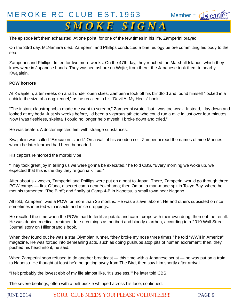## $S$  *M O K E S I G N A*

The episode left them exhausted. At one point, for one of the few times in his life, Zamperini prayed.

On the 33rd day, McNamara died. Zamperini and Phillips conducted a brief eulogy before committing his body to the sea.

Zamperini and Phillips drifted for two more weeks. On the 47th day, they reached the Marshall Islands, which they knew were in Japanese hands. They washed ashore on Wojte; from there, the Japanese took them to nearby Kwajalein.

#### **POW horrors**

At Kwajalein, after weeks on a raft under open skies, Zamperini took off his blindfold and found himself "locked in a cubicle the size of a dog kennel," as he recalled in his "Devil At My Heels" book.

"The instant claustrophobia made me want to scream," Zamperini wrote, "but I was too weak. Instead, I lay down and looked at my body. Just six weeks before, I'd been a vigorous athlete who could run a mile in just over four minutes. Now I was fleshless, skeletal I could no longer help myself. I broke down and cried."

He was beaten. A doctor injected him with strange substances.

Kwajalein was called "Execution Island." On a wall of his wooden cell, Zamperini read the names of nine Marines whom he later learned had been beheaded.

His captors reinforced the morbid vibe.

"They took great joy in telling us we were gonna be executed," he told CBS. "Every morning we woke up, we expected that this is the day they're gonna kill us."

After about six weeks, Zamperini and Phillips were put on a boat to Japan. There, Zamperini would go through three POW camps — first Ofuna, a secret camp near Yokohama; then Omori, a man-made spit in Tokyo Bay, where he met his tormentor, "The Bird"; and finally at Camp 4-B in Naoetsu, a small town near Nagano.

All told, Zamperini was a POW for more than 25 months. He was a slave laborer. He and others subsisted on rice sometimes infested with insects and mice droppings.

He recalled the time when the POWs had to fertilize potato and carrot crops with their own dung, then eat the result. He was denied medical treatment for such things as beriberi and bloody diarrhea, according to a 2010 Wall Street Journal story on Hillenbrand's book.

When they found out he was a star Olympian runner, "they broke my nose three times," he told "WWII in America" magazine. He was forced into demeaning acts, such as doing pushups atop pits of human excrement; then, they pushed his head into it, he said.

When Zamperini soon refused to do another broadcast — this time with a Japanese script — he was put on a train to Naoetsu. He thought at least he'd be getting away from The Bird, then saw him shortly after arrival.

"I felt probably the lowest ebb of my life almost like, 'It's useless,'" he later told CBS.

The severe beatings, often with a belt buckle whipped across his face, continued.